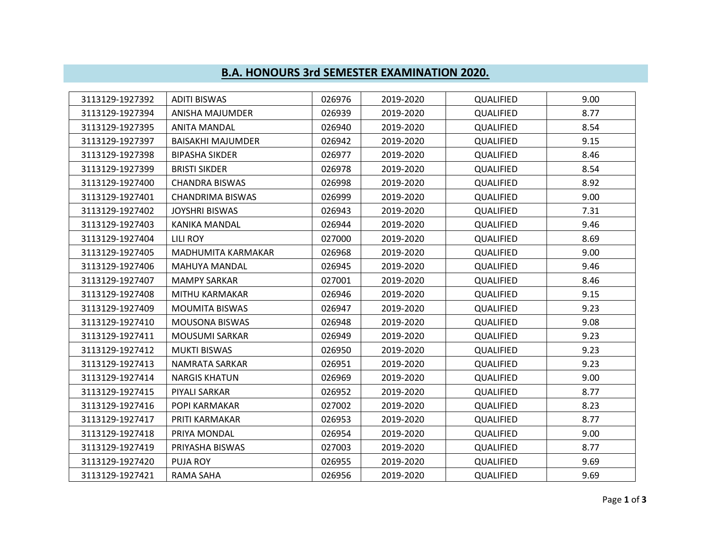## **B.A. HONOURS 3rd SEMESTER EXAMINATION 2020.**

| 3113129-1927392 | <b>ADITI BISWAS</b>      | 026976 | 2019-2020 | QUALIFIED | 9.00 |
|-----------------|--------------------------|--------|-----------|-----------|------|
| 3113129-1927394 | ANISHA MAJUMDER          | 026939 | 2019-2020 | QUALIFIED | 8.77 |
| 3113129-1927395 | ANITA MANDAL             | 026940 | 2019-2020 | QUALIFIED | 8.54 |
| 3113129-1927397 | <b>BAISAKHI MAJUMDER</b> | 026942 | 2019-2020 | QUALIFIED | 9.15 |
| 3113129-1927398 | <b>BIPASHA SIKDER</b>    | 026977 | 2019-2020 | QUALIFIED | 8.46 |
| 3113129-1927399 | <b>BRISTI SIKDER</b>     | 026978 | 2019-2020 | QUALIFIED | 8.54 |
| 3113129-1927400 | <b>CHANDRA BISWAS</b>    | 026998 | 2019-2020 | QUALIFIED | 8.92 |
| 3113129-1927401 | CHANDRIMA BISWAS         | 026999 | 2019-2020 | QUALIFIED | 9.00 |
| 3113129-1927402 | <b>JOYSHRI BISWAS</b>    | 026943 | 2019-2020 | QUALIFIED | 7.31 |
| 3113129-1927403 | KANIKA MANDAL            | 026944 | 2019-2020 | QUALIFIED | 9.46 |
| 3113129-1927404 | LILI ROY                 | 027000 | 2019-2020 | QUALIFIED | 8.69 |
| 3113129-1927405 | MADHUMITA KARMAKAR       | 026968 | 2019-2020 | QUALIFIED | 9.00 |
| 3113129-1927406 | <b>MAHUYA MANDAL</b>     | 026945 | 2019-2020 | QUALIFIED | 9.46 |
| 3113129-1927407 | <b>MAMPY SARKAR</b>      | 027001 | 2019-2020 | QUALIFIED | 8.46 |
| 3113129-1927408 | MITHU KARMAKAR           | 026946 | 2019-2020 | QUALIFIED | 9.15 |
| 3113129-1927409 | <b>MOUMITA BISWAS</b>    | 026947 | 2019-2020 | QUALIFIED | 9.23 |
| 3113129-1927410 | <b>MOUSONA BISWAS</b>    | 026948 | 2019-2020 | QUALIFIED | 9.08 |
| 3113129-1927411 | <b>MOUSUMI SARKAR</b>    | 026949 | 2019-2020 | QUALIFIED | 9.23 |
| 3113129-1927412 | <b>MUKTI BISWAS</b>      | 026950 | 2019-2020 | QUALIFIED | 9.23 |
| 3113129-1927413 | NAMRATA SARKAR           | 026951 | 2019-2020 | QUALIFIED | 9.23 |
| 3113129-1927414 | <b>NARGIS KHATUN</b>     | 026969 | 2019-2020 | QUALIFIED | 9.00 |
| 3113129-1927415 | PIYALI SARKAR            | 026952 | 2019-2020 | QUALIFIED | 8.77 |
| 3113129-1927416 | POPI KARMAKAR            | 027002 | 2019-2020 | QUALIFIED | 8.23 |
| 3113129-1927417 | PRITI KARMAKAR           | 026953 | 2019-2020 | QUALIFIED | 8.77 |
| 3113129-1927418 | PRIYA MONDAL             | 026954 | 2019-2020 | QUALIFIED | 9.00 |
| 3113129-1927419 | PRIYASHA BISWAS          | 027003 | 2019-2020 | QUALIFIED | 8.77 |
| 3113129-1927420 | PUJA ROY                 | 026955 | 2019-2020 | QUALIFIED | 9.69 |
| 3113129-1927421 | RAMA SAHA                | 026956 | 2019-2020 | QUALIFIED | 9.69 |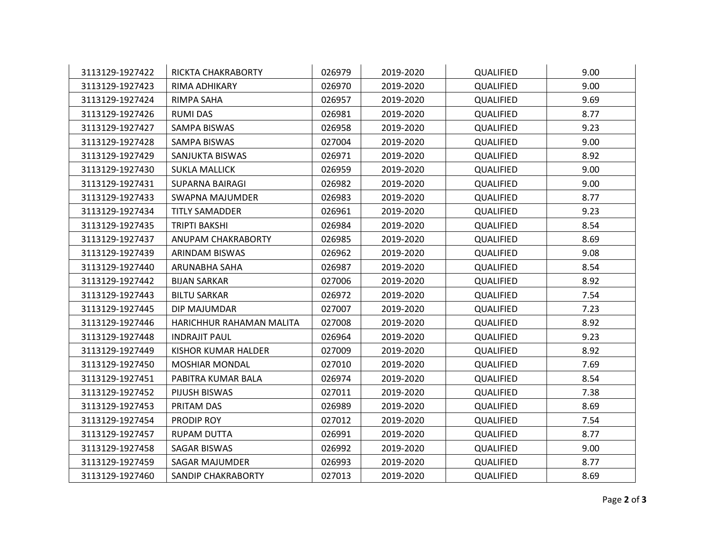| 3113129-1927422 | RICKTA CHAKRABORTY       | 026979 | 2019-2020 | QUALIFIED | 9.00 |
|-----------------|--------------------------|--------|-----------|-----------|------|
| 3113129-1927423 | RIMA ADHIKARY            | 026970 | 2019-2020 | QUALIFIED | 9.00 |
| 3113129-1927424 | RIMPA SAHA               | 026957 | 2019-2020 | QUALIFIED | 9.69 |
| 3113129-1927426 | <b>RUMI DAS</b>          | 026981 | 2019-2020 | QUALIFIED | 8.77 |
| 3113129-1927427 | <b>SAMPA BISWAS</b>      | 026958 | 2019-2020 | QUALIFIED | 9.23 |
| 3113129-1927428 | <b>SAMPA BISWAS</b>      | 027004 | 2019-2020 | QUALIFIED | 9.00 |
| 3113129-1927429 | SANJUKTA BISWAS          | 026971 | 2019-2020 | QUALIFIED | 8.92 |
| 3113129-1927430 | <b>SUKLA MALLICK</b>     | 026959 | 2019-2020 | QUALIFIED | 9.00 |
| 3113129-1927431 | SUPARNA BAIRAGI          | 026982 | 2019-2020 | QUALIFIED | 9.00 |
| 3113129-1927433 | <b>SWAPNA MAJUMDER</b>   | 026983 | 2019-2020 | QUALIFIED | 8.77 |
| 3113129-1927434 | <b>TITLY SAMADDER</b>    | 026961 | 2019-2020 | QUALIFIED | 9.23 |
| 3113129-1927435 | <b>TRIPTI BAKSHI</b>     | 026984 | 2019-2020 | QUALIFIED | 8.54 |
| 3113129-1927437 | ANUPAM CHAKRABORTY       | 026985 | 2019-2020 | QUALIFIED | 8.69 |
| 3113129-1927439 | ARINDAM BISWAS           | 026962 | 2019-2020 | QUALIFIED | 9.08 |
| 3113129-1927440 | ARUNABHA SAHA            | 026987 | 2019-2020 | QUALIFIED | 8.54 |
| 3113129-1927442 | <b>BIJAN SARKAR</b>      | 027006 | 2019-2020 | QUALIFIED | 8.92 |
| 3113129-1927443 | <b>BILTU SARKAR</b>      | 026972 | 2019-2020 | QUALIFIED | 7.54 |
| 3113129-1927445 | DIP MAJUMDAR             | 027007 | 2019-2020 | QUALIFIED | 7.23 |
| 3113129-1927446 | HARICHHUR RAHAMAN MALITA | 027008 | 2019-2020 | QUALIFIED | 8.92 |
| 3113129-1927448 | <b>INDRAJIT PAUL</b>     | 026964 | 2019-2020 | QUALIFIED | 9.23 |
| 3113129-1927449 | KISHOR KUMAR HALDER      | 027009 | 2019-2020 | QUALIFIED | 8.92 |
| 3113129-1927450 | <b>MOSHIAR MONDAL</b>    | 027010 | 2019-2020 | QUALIFIED | 7.69 |
| 3113129-1927451 | PABITRA KUMAR BALA       | 026974 | 2019-2020 | QUALIFIED | 8.54 |
| 3113129-1927452 | PIJUSH BISWAS            | 027011 | 2019-2020 | QUALIFIED | 7.38 |
| 3113129-1927453 | PRITAM DAS               | 026989 | 2019-2020 | QUALIFIED | 8.69 |
| 3113129-1927454 | PRODIP ROY               | 027012 | 2019-2020 | QUALIFIED | 7.54 |
| 3113129-1927457 | <b>RUPAM DUTTA</b>       | 026991 | 2019-2020 | QUALIFIED | 8.77 |
| 3113129-1927458 | <b>SAGAR BISWAS</b>      | 026992 | 2019-2020 | QUALIFIED | 9.00 |
| 3113129-1927459 | <b>SAGAR MAJUMDER</b>    | 026993 | 2019-2020 | QUALIFIED | 8.77 |
| 3113129-1927460 | SANDIP CHAKRABORTY       | 027013 | 2019-2020 | QUALIFIED | 8.69 |